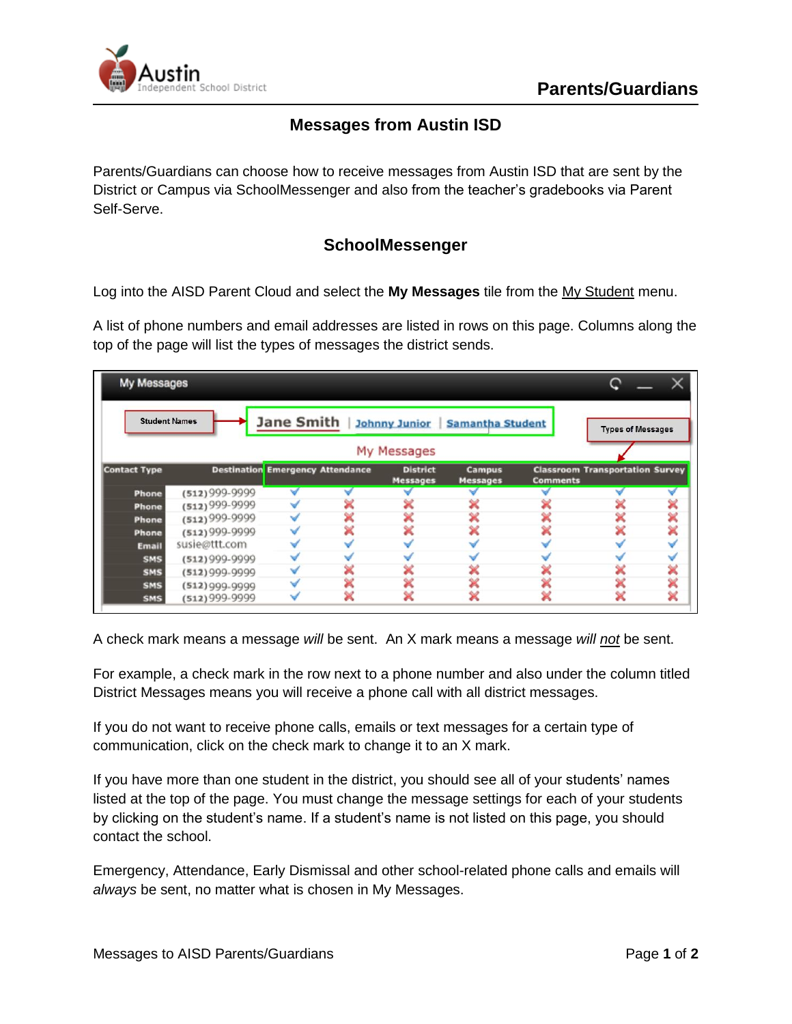

## **Messages from Austin ISD**

Parents/Guardians can choose how to receive messages from Austin ISD that are sent by the District or Campus via SchoolMessenger and also from the teacher's gradebooks via Parent Self-Serve.

## **SchoolMessenger**

Log into the AISD Parent Cloud and select the **My Messages** tile from the My Student menu.

A list of phone numbers and email addresses are listed in rows on this page. Columns along the top of the page will list the types of messages the district sends.

| My Messages<br>Jane Smith  <br><b>Student Names</b><br><b>Johnny Junior</b><br><b>Samantha Student</b><br><b>Types of Messages</b> |                  |  |  |  |  |  |  |   |
|------------------------------------------------------------------------------------------------------------------------------------|------------------|--|--|--|--|--|--|---|
|                                                                                                                                    |                  |  |  |  |  |  |  |   |
| <b>Phone</b>                                                                                                                       | $(512)999-9999$  |  |  |  |  |  |  |   |
| Phone                                                                                                                              | $(512)$ 999-9999 |  |  |  |  |  |  |   |
| <b>Phone</b>                                                                                                                       | $(512)$ 999-9999 |  |  |  |  |  |  | × |
| <b>Phone</b>                                                                                                                       | $(512)999-9999$  |  |  |  |  |  |  | × |
| Email                                                                                                                              | susie@ttt.com    |  |  |  |  |  |  |   |
| <b>SMS</b>                                                                                                                         | $(512)999-9999$  |  |  |  |  |  |  |   |
| <b>SMS</b>                                                                                                                         | $(512)999-9999$  |  |  |  |  |  |  | × |
| <b>SMS</b>                                                                                                                         | $(512)999-9999$  |  |  |  |  |  |  | × |
| SMS                                                                                                                                | $(512)999-9999$  |  |  |  |  |  |  | × |

A check mark means a message *will* be sent. An X mark means a message *will not* be sent.

For example, a check mark in the row next to a phone number and also under the column titled District Messages means you will receive a phone call with all district messages.

If you do not want to receive phone calls, emails or text messages for a certain type of communication, click on the check mark to change it to an X mark.

If you have more than one student in the district, you should see all of your students' names listed at the top of the page. You must change the message settings for each of your students by clicking on the student's name. If a student's name is not listed on this page, you should contact the school.

Emergency, Attendance, Early Dismissal and other school-related phone calls and emails will *always* be sent, no matter what is chosen in My Messages.